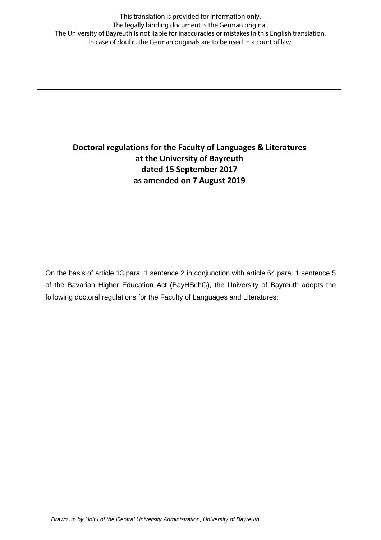This translation is provided for information only. The legally binding document is the German original. The University of Bayreuth is not liable for inaccuracies or mistakes in this English translation. In case of doubt, the German originals are to be used in a court of law.

# **Doctoral regulations for the Faculty of Languages & Literatures at the University of Bayreuth dated 15 September 2017 as amended on 7 August 2019**

On the basis of article 13 para. 1 sentence 2 in conjunction with article 64 para. 1 sentence 5 of the Bavarian Higher Education Act (BayHSchG), the University of Bayreuth adopts the following doctoral regulations for the Faculty of Languages and Literatures: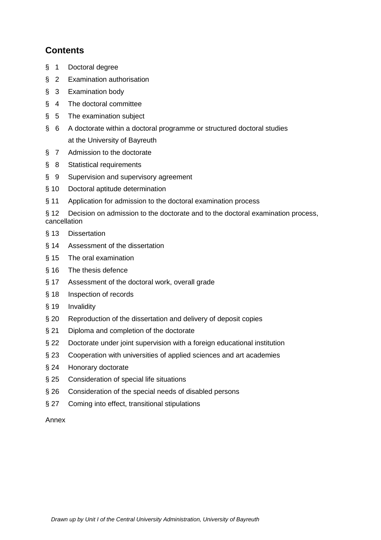# **Contents**

- § 1 Doctoral degree
- § 2 Examination authorisation
- § 3 Examination body
- § 4 The doctoral committee
- § 5 The examination subject
- § 6 A doctorate within a doctoral programme or structured doctoral studies at the University of Bayreuth
- § 7 Admission to the doctorate
- § 8 Statistical requirements
- § 9 Supervision and supervisory agreement
- § 10 Doctoral aptitude determination
- § 11 Application for admission to the doctoral examination process

§ 12 Decision on admission to the doctorate and to the doctoral examination process, cancellation

- § 13 Dissertation
- § 14 Assessment of the dissertation
- § 15 The oral examination
- § 16 The thesis defence
- § 17 Assessment of the doctoral work, overall grade
- § 18 Inspection of records
- § 19 Invalidity
- § 20 Reproduction of the dissertation and delivery of deposit copies
- § 21 Diploma and completion of the doctorate
- § 22 Doctorate under joint supervision with a foreign educational institution
- § 23 Cooperation with universities of applied sciences and art academies
- § 24 Honorary doctorate
- § 25 Consideration of special life situations
- § 26 Consideration of the special needs of disabled persons
- § 27 Coming into effect, transitional stipulations

#### Annex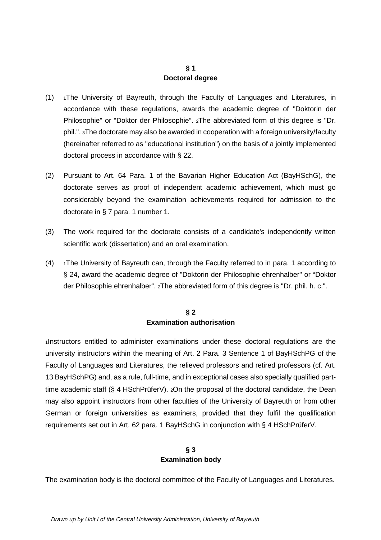## **§ 1 Doctoral degree**

- $(1)$  1The University of Bayreuth, through the Faculty of Languages and Literatures, in accordance with these regulations, awards the academic degree of "Doktorin der Philosophie" or "Doktor der Philosophie". 2The abbreviated form of this degree is "Dr. phil.". 3The doctorate may also be awarded in cooperation with a foreign university/faculty (hereinafter referred to as "educational institution") on the basis of a jointly implemented doctoral process in accordance with § 22.
- (2) Pursuant to Art. 64 Para. 1 of the Bavarian Higher Education Act (BayHSchG), the doctorate serves as proof of independent academic achievement, which must go considerably beyond the examination achievements required for admission to the doctorate in § 7 para. 1 number 1.
- (3) The work required for the doctorate consists of a candidate's independently written scientific work (dissertation) and an oral examination.
- $(4)$  1The University of Bayreuth can, through the Faculty referred to in para. 1 according to § 24, award the academic degree of "Doktorin der Philosophie ehrenhalber" or "Doktor der Philosophie ehrenhalber". 2The abbreviated form of this degree is "Dr. phil. h. c.".

# **§ 2 Examination authorisation**

1Instructors entitled to administer examinations under these doctoral regulations are the university instructors within the meaning of Art. 2 Para. 3 Sentence 1 of BayHSchPG of the Faculty of Languages and Literatures, the relieved professors and retired professors (cf. Art. 13 BayHSchPG) and, as a rule, full-time, and in exceptional cases also specially qualified parttime academic staff (§ 4 HSchPrüferV). 2On the proposal of the doctoral candidate, the Dean may also appoint instructors from other faculties of the University of Bayreuth or from other German or foreign universities as examiners, provided that they fulfil the qualification requirements set out in Art. 62 para. 1 BayHSchG in conjunction with § 4 HSchPrüferV.

# **§ 3 Examination body**

The examination body is the doctoral committee of the Faculty of Languages and Literatures.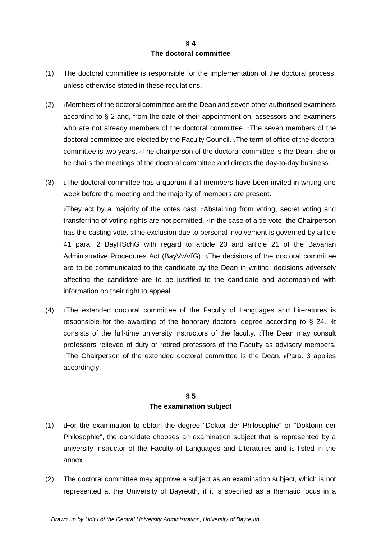## **§ 4 The doctoral committee**

- (1) The doctoral committee is responsible for the implementation of the doctoral process, unless otherwise stated in these regulations.
- (2) 1Members of the doctoral committee are the Dean and seven other authorised examiners according to § 2 and, from the date of their appointment on, assessors and examiners who are not already members of the doctoral committee.  $2$ The seven members of the doctoral committee are elected by the Faculty Council. 3The term of office of the doctoral committee is two years. 4The chairperson of the doctoral committee is the Dean; she or he chairs the meetings of the doctoral committee and directs the day-to-day business.
- $(3)$  1The doctoral committee has a quorum if all members have been invited in writing one week before the meeting and the majority of members are present.

2They act by a majority of the votes cast. 3Abstaining from voting, secret voting and transferring of voting rights are not permitted. 4In the case of a tie vote, the Chairperson has the casting vote. 5The exclusion due to personal involvement is governed by article 41 para. 2 BayHSchG with regard to article 20 and article 21 of the Bavarian Administrative Procedures Act (BayVwVfG). 6The decisions of the doctoral committee are to be communicated to the candidate by the Dean in writing; decisions adversely affecting the candidate are to be justified to the candidate and accompanied with information on their right to appeal.

(4) 1The extended doctoral committee of the Faculty of Languages and Literatures is responsible for the awarding of the honorary doctoral degree according to § 24. 2It consists of the full-time university instructors of the faculty. 3The Dean may consult professors relieved of duty or retired professors of the Faculty as advisory members. 4The Chairperson of the extended doctoral committee is the Dean. 5Para. 3 applies accordingly.

## **§ 5 The examination subject**

- (1) 1For the examination to obtain the degree "Doktor der Philosophie" or "Doktorin der Philosophie", the candidate chooses an examination subject that is represented by a university instructor of the Faculty of Languages and Literatures and is listed in the annex.
- (2) The doctoral committee may approve a subject as an examination subject, which is not represented at the University of Bayreuth, if it is specified as a thematic focus in a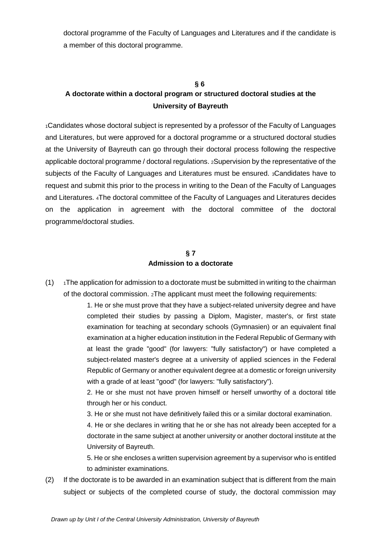doctoral programme of the Faculty of Languages and Literatures and if the candidate is a member of this doctoral programme.

#### **§ 6**

# **A doctorate within a doctoral program or structured doctoral studies at the University of Bayreuth**

1Candidates whose doctoral subject is represented by a professor of the Faculty of Languages and Literatures, but were approved for a doctoral programme or a structured doctoral studies at the University of Bayreuth can go through their doctoral process following the respective applicable doctoral programme / doctoral regulations. 2Supervision by the representative of the subjects of the Faculty of Languages and Literatures must be ensured. 3Candidates have to request and submit this prior to the process in writing to the Dean of the Faculty of Languages and Literatures. 4The doctoral committee of the Faculty of Languages and Literatures decides on the application in agreement with the doctoral committee of the doctoral programme/doctoral studies.

## **§ 7 Admission to a doctorate**

 $(1)$  1The application for admission to a doctorate must be submitted in writing to the chairman of the doctoral commission. 2The applicant must meet the following requirements:

> 1. He or she must prove that they have a subject-related university degree and have completed their studies by passing a Diplom, Magister, master's, or first state examination for teaching at secondary schools (Gymnasien) or an equivalent final examination at a higher education institution in the Federal Republic of Germany with at least the grade "good" (for lawyers: "fully satisfactory") or have completed a subject-related master's degree at a university of applied sciences in the Federal Republic of Germany or another equivalent degree at a domestic or foreign university with a grade of at least "good" (for lawyers: "fully satisfactory").

> 2. He or she must not have proven himself or herself unworthy of a doctoral title through her or his conduct.

3. He or she must not have definitively failed this or a similar doctoral examination.

4. He or she declares in writing that he or she has not already been accepted for a doctorate in the same subject at another university or another doctoral institute at the University of Bayreuth.

5. He or she encloses a written supervision agreement by a supervisor who is entitled to administer examinations.

(2) If the doctorate is to be awarded in an examination subject that is different from the main subject or subjects of the completed course of study, the doctoral commission may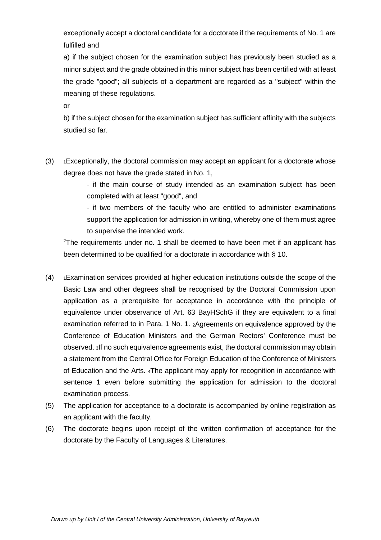exceptionally accept a doctoral candidate for a doctorate if the requirements of No. 1 are fulfilled and

a) if the subject chosen for the examination subject has previously been studied as a minor subject and the grade obtained in this minor subject has been certified with at least the grade "good"; all subjects of a department are regarded as a "subject" within the meaning of these regulations.

or

b) if the subject chosen for the examination subject has sufficient affinity with the subjects studied so far.

 $(3)$  1Exceptionally, the doctoral commission may accept an applicant for a doctorate whose degree does not have the grade stated in No. 1,

> - if the main course of study intended as an examination subject has been completed with at least "good", and

> - if two members of the faculty who are entitled to administer examinations support the application for admission in writing, whereby one of them must agree to supervise the intended work.

<sup>2</sup>The requirements under no. 1 shall be deemed to have been met if an applicant has been determined to be qualified for a doctorate in accordance with § 10.

- $(4)$  1Examination services provided at higher education institutions outside the scope of the Basic Law and other degrees shall be recognised by the Doctoral Commission upon application as a prerequisite for acceptance in accordance with the principle of equivalence under observance of Art. 63 BayHSchG if they are equivalent to a final examination referred to in Para. 1 No. 1. 2Agreements on equivalence approved by the Conference of Education Ministers and the German Rectors' Conference must be observed. 3If no such equivalence agreements exist, the doctoral commission may obtain a statement from the Central Office for Foreign Education of the Conference of Ministers of Education and the Arts. 4The applicant may apply for recognition in accordance with sentence 1 even before submitting the application for admission to the doctoral examination process.
- (5) The application for acceptance to a doctorate is accompanied by online registration as an applicant with the faculty.
- (6) The doctorate begins upon receipt of the written confirmation of acceptance for the doctorate by the Faculty of Languages & Literatures.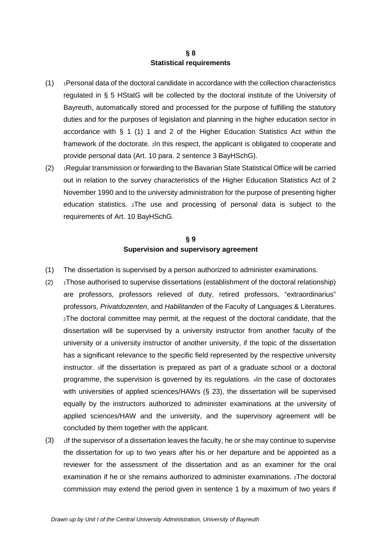#### **§ 8 Statistical requirements**

- $(1)$  1Personal data of the doctoral candidate in accordance with the collection characteristics regulated in § 5 HStatG will be collected by the doctoral institute of the University of Bayreuth, automatically stored and processed for the purpose of fulfilling the statutory duties and for the purposes of legislation and planning in the higher education sector in accordance with § 1 (1) 1 and 2 of the Higher Education Statistics Act within the framework of the doctorate. 2In this respect, the applicant is obligated to cooperate and provide personal data (Art. 10 para. 2 sentence 3 BayHSchG).
- (2) 1Regular transmission or forwarding to the Bavarian State Statistical Office will be carried out in relation to the survey characteristics of the Higher Education Statistics Act of 2 November 1990 and to the university administration for the purpose of presenting higher education statistics. 2The use and processing of personal data is subject to the requirements of Art. 10 BayHSchG.

### **§ 9 Supervision and supervisory agreement**

- (1) The dissertation is supervised by a person authorized to administer examinations.
- (2)  $\rightarrow$  1Those authorised to supervise dissertations (establishment of the doctoral relationship) are professors, professors relieved of duty, retired professors, "extraordinarius" professors, *Privatdozenten*, and *Habilitanden* of the Faculty of Languages & Literatures. 2The doctoral committee may permit, at the request of the doctoral candidate, that the dissertation will be supervised by a university instructor from another faculty of the university or a university instructor of another university, if the topic of the dissertation has a significant relevance to the specific field represented by the respective university instructor. 3If the dissertation is prepared as part of a graduate school or a doctoral programme, the supervision is governed by its regulations. 4In the case of doctorates with universities of applied sciences/HAWs (§ 23), the dissertation will be supervised equally by the instructors authorized to administer examinations at the university of applied sciences/HAW and the university, and the supervisory agreement will be concluded by them together with the applicant.
- $(3)$  1If the supervisor of a dissertation leaves the faculty, he or she may continue to supervise the dissertation for up to two years after his or her departure and be appointed as a reviewer for the assessment of the dissertation and as an examiner for the oral examination if he or she remains authorized to administer examinations. 2The doctoral commission may extend the period given in sentence 1 by a maximum of two years if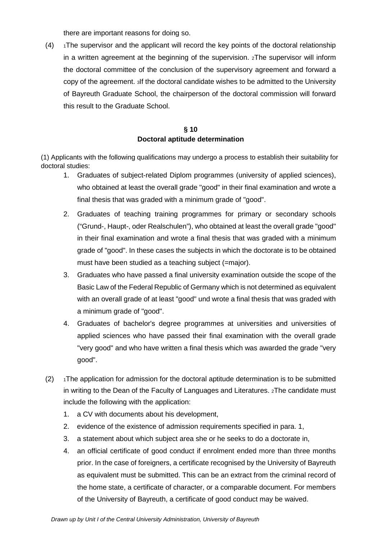there are important reasons for doing so.

 $(4)$  1The supervisor and the applicant will record the key points of the doctoral relationship in a written agreement at the beginning of the supervision. 2The supervisor will inform the doctoral committee of the conclusion of the supervisory agreement and forward a copy of the agreement. 3If the doctoral candidate wishes to be admitted to the University of Bayreuth Graduate School, the chairperson of the doctoral commission will forward this result to the Graduate School.

## **§ 10 Doctoral aptitude determination**

(1) Applicants with the following qualifications may undergo a process to establish their suitability for doctoral studies:

- 1. Graduates of subject-related Diplom programmes (university of applied sciences), who obtained at least the overall grade "good" in their final examination and wrote a final thesis that was graded with a minimum grade of "good".
- 2. Graduates of teaching training programmes for primary or secondary schools ("Grund-, Haupt-, oder Realschulen"), who obtained at least the overall grade "good" in their final examination and wrote a final thesis that was graded with a minimum grade of "good". In these cases the subjects in which the doctorate is to be obtained must have been studied as a teaching subject (=major).
- 3. Graduates who have passed a final university examination outside the scope of the Basic Law of the Federal Republic of Germany which is not determined as equivalent with an overall grade of at least "good" und wrote a final thesis that was graded with a minimum grade of "good".
- 4. Graduates of bachelor's degree programmes at universities and universities of applied sciences who have passed their final examination with the overall grade "very good" and who have written a final thesis which was awarded the grade "very good".
- $(2)$  1The application for admission for the doctoral aptitude determination is to be submitted in writing to the Dean of the Faculty of Languages and Literatures. 2The candidate must include the following with the application:
	- 1. a CV with documents about his development,
	- 2. evidence of the existence of admission requirements specified in para. 1,
	- 3. a statement about which subject area she or he seeks to do a doctorate in,
	- 4. an official certificate of good conduct if enrolment ended more than three months prior. In the case of foreigners, a certificate recognised by the University of Bayreuth as equivalent must be submitted. This can be an extract from the criminal record of the home state, a certificate of character, or a comparable document. For members of the University of Bayreuth, a certificate of good conduct may be waived.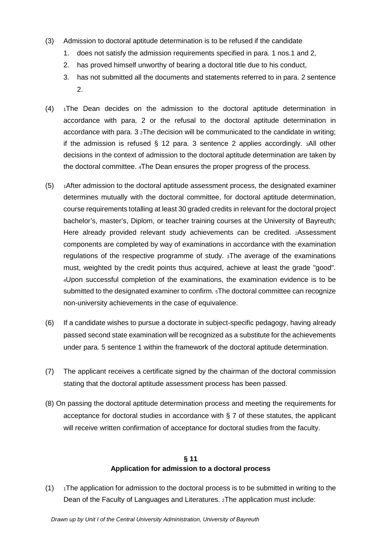- (3) Admission to doctoral aptitude determination is to be refused if the candidate
	- 1. does not satisfy the admission requirements specified in para. 1 nos.1 and 2,
	- 2. has proved himself unworthy of bearing a doctoral title due to his conduct,
	- 3. has not submitted all the documents and statements referred to in para. 2 sentence 2.
- $(4)$  1The Dean decides on the admission to the doctoral aptitude determination in accordance with para. 2 or the refusal to the doctoral aptitude determination in accordance with para.  $3\,{}^{2}$ The decision will be communicated to the candidate in writing; if the admission is refused § 12 para. 3 sentence 2 applies accordingly. 3All other decisions in the context of admission to the doctoral aptitude determination are taken by the doctoral committee. 4The Dean ensures the proper progress of the process.
- (5) 1After admission to the doctoral aptitude assessment process, the designated examiner determines mutually with the doctoral committee, for doctoral aptitude determination, course requirements totalling at least 30 graded credits in relevant for the doctoral project bachelor's, master's, Diplom, or teacher training courses at the University of Bayreuth; Here already provided relevant study achievements can be credited. 2Assessment components are completed by way of examinations in accordance with the examination regulations of the respective programme of study. 3The average of the examinations must, weighted by the credit points thus acquired, achieve at least the grade "good". 4Upon successful completion of the examinations, the examination evidence is to be submitted to the designated examiner to confirm. 5The doctoral committee can recognize non-university achievements in the case of equivalence.
- (6) If a candidate wishes to pursue a doctorate in subject-specific pedagogy, having already passed second state examination will be recognized as a substitute for the achievements under para. 5 sentence 1 within the framework of the doctoral aptitude determination.
- (7) The applicant receives a certificate signed by the chairman of the doctoral commission stating that the doctoral aptitude assessment process has been passed.
- (8) On passing the doctoral aptitude determination process and meeting the requirements for acceptance for doctoral studies in accordance with § 7 of these statutes, the applicant will receive written confirmation of acceptance for doctoral studies from the faculty.

# **§ 11 Application for admission to a doctoral process**

(1)  $\rightarrow$  1The application for admission to the doctoral process is to be submitted in writing to the Dean of the Faculty of Languages and Literatures. 2The application must include: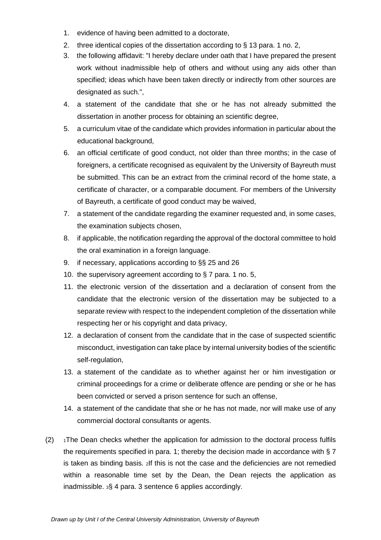- 1. evidence of having been admitted to a doctorate,
- 2. three identical copies of the dissertation according to § 13 para. 1 no. 2,
- 3. the following affidavit: "I hereby declare under oath that I have prepared the present work without inadmissible help of others and without using any aids other than specified; ideas which have been taken directly or indirectly from other sources are designated as such.",
- 4. a statement of the candidate that she or he has not already submitted the dissertation in another process for obtaining an scientific degree,
- 5. a curriculum vitae of the candidate which provides information in particular about the educational background,
- 6. an official certificate of good conduct, not older than three months; in the case of foreigners, a certificate recognised as equivalent by the University of Bayreuth must be submitted. This can be an extract from the criminal record of the home state, a certificate of character, or a comparable document. For members of the University of Bayreuth, a certificate of good conduct may be waived,
- 7. a statement of the candidate regarding the examiner requested and, in some cases, the examination subjects chosen,
- 8. if applicable, the notification regarding the approval of the doctoral committee to hold the oral examination in a foreign language.
- 9. if necessary, applications according to §§ 25 and 26
- 10. the supervisory agreement according to § 7 para. 1 no. 5,
- 11. the electronic version of the dissertation and a declaration of consent from the candidate that the electronic version of the dissertation may be subjected to a separate review with respect to the independent completion of the dissertation while respecting her or his copyright and data privacy,
- 12. a declaration of consent from the candidate that in the case of suspected scientific misconduct, investigation can take place by internal university bodies of the scientific self-regulation,
- 13. a statement of the candidate as to whether against her or him investigation or criminal proceedings for a crime or deliberate offence are pending or she or he has been convicted or served a prison sentence for such an offense,
- 14. a statement of the candidate that she or he has not made, nor will make use of any commercial doctoral consultants or agents.
- $(2)$  1The Dean checks whether the application for admission to the doctoral process fulfils the requirements specified in para. 1; thereby the decision made in accordance with § 7 is taken as binding basis. 2If this is not the case and the deficiencies are not remedied within a reasonable time set by the Dean, the Dean rejects the application as inadmissible. 3§ 4 para. 3 sentence 6 applies accordingly.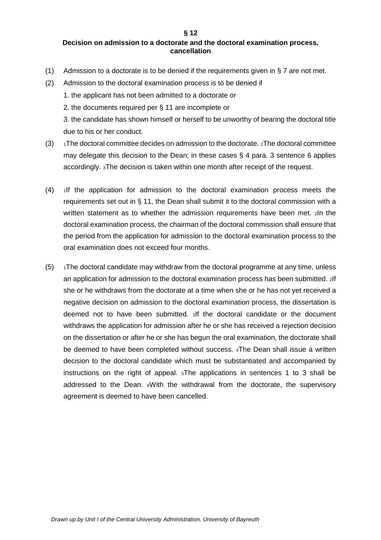**§ 12**

#### **Decision on admission to a doctorate and the doctoral examination process, cancellation**

- (1) Admission to a doctorate is to be denied if the requirements given in § 7 are not met.
- (2) Admission to the doctoral examination process is to be denied if
	- 1. the applicant has not been admitted to a doctorate or
	- 2. the documents required per § 11 are incomplete or

3. the candidate has shown himself or herself to be unworthy of bearing the doctoral title due to his or her conduct.

- (3)  $\rightarrow$  1The doctoral committee decides on admission to the doctorate.  $\alpha$ The doctoral committee may delegate this decision to the Dean; in these cases  $\S$  4 para. 3 sentence 6 applies accordingly. 3The decision is taken within one month after receipt of the request.
- $(4)$  1If the application for admission to the doctoral examination process meets the requirements set out in § 11, the Dean shall submit it to the doctoral commission with a written statement as to whether the admission requirements have been met. 2ln the doctoral examination process, the chairman of the doctoral commission shall ensure that the period from the application for admission to the doctoral examination process to the oral examination does not exceed four months.
- $(5)$  1The doctoral candidate may withdraw from the doctoral programme at any time, unless an application for admission to the doctoral examination process has been submitted. 2If she or he withdraws from the doctorate at a time when she or he has not yet received a negative decision on admission to the doctoral examination process, the dissertation is deemed not to have been submitted. 3If the doctoral candidate or the document withdraws the application for admission after he or she has received a rejection decision on the dissertation or after he or she has begun the oral examination, the doctorate shall be deemed to have been completed without success. 4The Dean shall issue a written decision to the doctoral candidate which must be substantiated and accompanied by instructions on the right of appeal. 5The applications in sentences 1 to 3 shall be addressed to the Dean. 6With the withdrawal from the doctorate, the supervisory agreement is deemed to have been cancelled.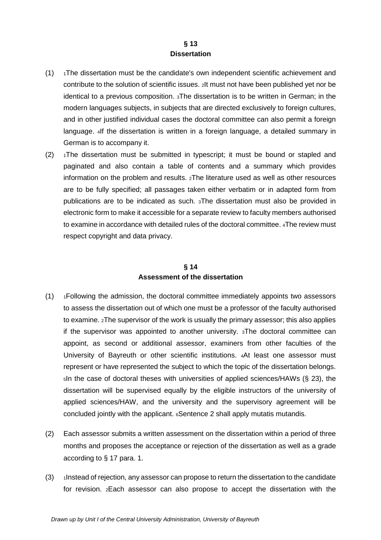#### **§ 13 Dissertation**

- $(1)$  1The dissertation must be the candidate's own independent scientific achievement and contribute to the solution of scientific issues. 2It must not have been published yet nor be identical to a previous composition. 3The dissertation is to be written in German; in the modern languages subjects, in subjects that are directed exclusively to foreign cultures, and in other justified individual cases the doctoral committee can also permit a foreign language. 4If the dissertation is written in a foreign language, a detailed summary in German is to accompany it.
- $(2)$  1The dissertation must be submitted in typescript; it must be bound or stapled and paginated and also contain a table of contents and a summary which provides information on the problem and results. 2The literature used as well as other resources are to be fully specified; all passages taken either verbatim or in adapted form from publications are to be indicated as such. 3The dissertation must also be provided in electronic form to make it accessible for a separate review to faculty members authorised to examine in accordance with detailed rules of the doctoral committee. 4The review must respect copyright and data privacy.

# **§ 14 Assessment of the dissertation**

- (1) 1Following the admission, the doctoral committee immediately appoints two assessors to assess the dissertation out of which one must be a professor of the faculty authorised to examine. 2The supervisor of the work is usually the primary assessor; this also applies if the supervisor was appointed to another university. 3The doctoral committee can appoint, as second or additional assessor, examiners from other faculties of the University of Bayreuth or other scientific institutions. 4At least one assessor must represent or have represented the subject to which the topic of the dissertation belongs. 5In the case of doctoral theses with universities of applied sciences/HAWs (§ 23), the dissertation will be supervised equally by the eligible instructors of the university of applied sciences/HAW, and the university and the supervisory agreement will be concluded jointly with the applicant. 6Sentence 2 shall apply mutatis mutandis.
- (2) Each assessor submits a written assessment on the dissertation within a period of three months and proposes the acceptance or rejection of the dissertation as well as a grade according to § 17 para. 1.
- $(3)$  1Instead of rejection, any assessor can propose to return the dissertation to the candidate for revision. 2Each assessor can also propose to accept the dissertation with the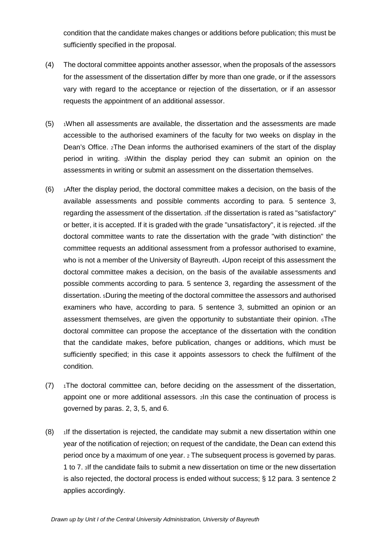condition that the candidate makes changes or additions before publication; this must be sufficiently specified in the proposal.

- (4) The doctoral committee appoints another assessor, when the proposals of the assessors for the assessment of the dissertation differ by more than one grade, or if the assessors vary with regard to the acceptance or rejection of the dissertation, or if an assessor requests the appointment of an additional assessor.
- $(5)$   $\rightarrow$  1When all assessments are available, the dissertation and the assessments are made accessible to the authorised examiners of the faculty for two weeks on display in the Dean's Office. 2The Dean informs the authorised examiners of the start of the display period in writing. 3Within the display period they can submit an opinion on the assessments in writing or submit an assessment on the dissertation themselves.
- $(6)$  1After the display period, the doctoral committee makes a decision, on the basis of the available assessments and possible comments according to para. 5 sentence 3, regarding the assessment of the dissertation. 2If the dissertation is rated as "satisfactory" or better, it is accepted. If it is graded with the grade "unsatisfactory", it is rejected. 3If the doctoral committee wants to rate the dissertation with the grade "with distinction" the committee requests an additional assessment from a professor authorised to examine, who is not a member of the University of Bayreuth. 4Upon receipt of this assessment the doctoral committee makes a decision, on the basis of the available assessments and possible comments according to para. 5 sentence 3, regarding the assessment of the dissertation. 5During the meeting of the doctoral committee the assessors and authorised examiners who have, according to para. 5 sentence 3, submitted an opinion or an assessment themselves, are given the opportunity to substantiate their opinion.  $\epsilon$ The doctoral committee can propose the acceptance of the dissertation with the condition that the candidate makes, before publication, changes or additions, which must be sufficiently specified; in this case it appoints assessors to check the fulfilment of the condition.
- $(7)$  1The doctoral committee can, before deciding on the assessment of the dissertation, appoint one or more additional assessors. 2In this case the continuation of process is governed by paras. 2, 3, 5, and 6.
- $(8)$  1If the dissertation is rejected, the candidate may submit a new dissertation within one year of the notification of rejection; on request of the candidate, the Dean can extend this period once by a maximum of one year. 2 The subsequent process is governed by paras. 1 to 7. 3If the candidate fails to submit a new dissertation on time or the new dissertation is also rejected, the doctoral process is ended without success; § 12 para. 3 sentence 2 applies accordingly.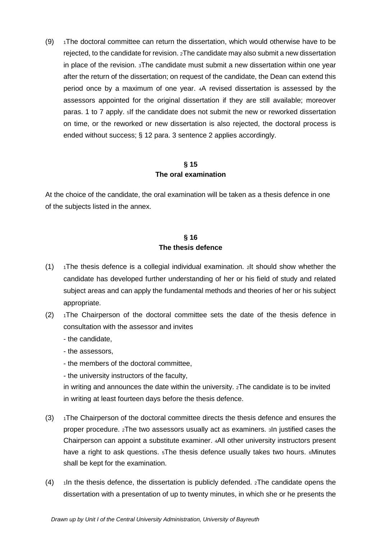(9)  $\rightarrow$  1The doctoral committee can return the dissertation, which would otherwise have to be rejected, to the candidate for revision. 2The candidate may also submit a new dissertation in place of the revision. 3The candidate must submit a new dissertation within one year after the return of the dissertation; on request of the candidate, the Dean can extend this period once by a maximum of one year. 4A revised dissertation is assessed by the assessors appointed for the original dissertation if they are still available; moreover paras. 1 to 7 apply. 5If the candidate does not submit the new or reworked dissertation on time, or the reworked or new dissertation is also rejected, the doctoral process is ended without success; § 12 para. 3 sentence 2 applies accordingly.

## **§ 15 The oral examination**

At the choice of the candidate, the oral examination will be taken as a thesis defence in one of the subjects listed in the annex.

## **§ 16 The thesis defence**

- (1)  $\rightarrow$  1The thesis defence is a collegial individual examination. 2It should show whether the candidate has developed further understanding of her or his field of study and related subject areas and can apply the fundamental methods and theories of her or his subject appropriate.
- $(2)$  1The Chairperson of the doctoral committee sets the date of the thesis defence in consultation with the assessor and invites
	- the candidate,
	- the assessors,
	- the members of the doctoral committee,
	- the university instructors of the faculty,

in writing and announces the date within the university. 2The candidate is to be invited in writing at least fourteen days before the thesis defence.

- $(3)$  1The Chairperson of the doctoral committee directs the thesis defence and ensures the proper procedure. 2The two assessors usually act as examiners. 3In justified cases the Chairperson can appoint a substitute examiner. 4All other university instructors present have a right to ask questions. <sup>5</sup>The thesis defence usually takes two hours. <sup>6</sup>Minutes shall be kept for the examination.
- $(4)$  1In the thesis defence, the dissertation is publicly defended.  $2$ The candidate opens the dissertation with a presentation of up to twenty minutes, in which she or he presents the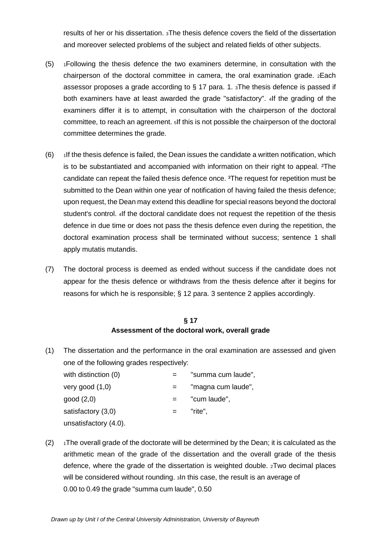results of her or his dissertation. 3The thesis defence covers the field of the dissertation and moreover selected problems of the subject and related fields of other subjects.

- $(5)$  1Following the thesis defence the two examiners determine, in consultation with the chairperson of the doctoral committee in camera, the oral examination grade. 2Each assessor proposes a grade according to  $\S$  17 para. 1.  $\overline{a}$ The thesis defence is passed if both examiners have at least awarded the grade "satisfactory". 4If the grading of the examiners differ it is to attempt, in consultation with the chairperson of the doctoral committee, to reach an agreement. 5If this is not possible the chairperson of the doctoral committee determines the grade.
- $(6)$  1If the thesis defence is failed, the Dean issues the candidate a written notification, which is to be substantiated and accompanied with information on their right to appeal. ²The candidate can repeat the failed thesis defence once. <sup>3</sup>The request for repetition must be submitted to the Dean within one year of notification of having failed the thesis defence; upon request, the Dean may extend this deadline for special reasons beyond the doctoral student's control. 4If the doctoral candidate does not request the repetition of the thesis defence in due time or does not pass the thesis defence even during the repetition, the doctoral examination process shall be terminated without success; sentence 1 shall apply mutatis mutandis.
- (7) The doctoral process is deemed as ended without success if the candidate does not appear for the thesis defence or withdraws from the thesis defence after it begins for reasons for which he is responsible; § 12 para. 3 sentence 2 applies accordingly.

## **§ 17 Assessment of the doctoral work, overall grade**

(1) The dissertation and the performance in the oral examination are assessed and given one of the following grades respectively:

| with distinction (0)  | "summa cum laude", |
|-----------------------|--------------------|
| very good $(1,0)$     | "magna cum laude", |
| good(2,0)             | "cum laude",       |
| satisfactory (3,0)    | "rite".            |
| unsatisfactory (4.0). |                    |

 $(2)$  1The overall grade of the doctorate will be determined by the Dean; it is calculated as the arithmetic mean of the grade of the dissertation and the overall grade of the thesis defence, where the grade of the dissertation is weighted double. 2Two decimal places will be considered without rounding. 3In this case, the result is an average of 0.00 to 0.49 the grade "summa cum laude", 0.50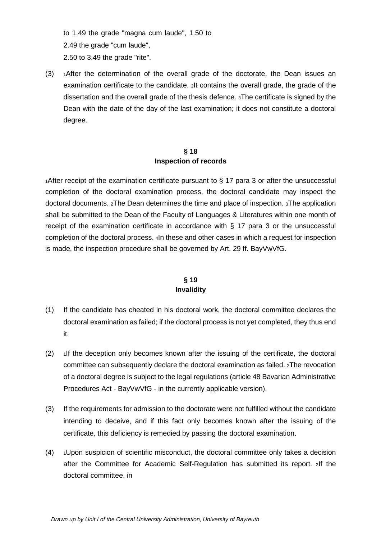to 1.49 the grade "magna cum laude", 1.50 to 2.49 the grade "cum laude", 2.50 to 3.49 the grade "rite".

 $(3)$  1After the determination of the overall grade of the doctorate, the Dean issues an examination certificate to the candidate. 2It contains the overall grade, the grade of the dissertation and the overall grade of the thesis defence. 3The certificate is signed by the Dean with the date of the day of the last examination; it does not constitute a doctoral degree.

#### **§ 18 Inspection of records**

1After receipt of the examination certificate pursuant to § 17 para 3 or after the unsuccessful completion of the doctoral examination process, the doctoral candidate may inspect the doctoral documents. 2The Dean determines the time and place of inspection. 3The application shall be submitted to the Dean of the Faculty of Languages & Literatures within one month of receipt of the examination certificate in accordance with § 17 para 3 or the unsuccessful completion of the doctoral process. 4In these and other cases in which a request for inspection is made, the inspection procedure shall be governed by Art. 29 ff. BayVwVfG.

## **§ 19 Invalidity**

- (1) If the candidate has cheated in his doctoral work, the doctoral committee declares the doctoral examination as failed; if the doctoral process is not yet completed, they thus end it.
- $(2)$  1If the deception only becomes known after the issuing of the certificate, the doctoral committee can subsequently declare the doctoral examination as failed. 2The revocation of a doctoral degree is subject to the legal regulations (article 48 Bavarian Administrative Procedures Act - BayVwVfG - in the currently applicable version).
- (3) If the requirements for admission to the doctorate were not fulfilled without the candidate intending to deceive, and if this fact only becomes known after the issuing of the certificate, this deficiency is remedied by passing the doctoral examination.
- $(4)$  1Upon suspicion of scientific misconduct, the doctoral committee only takes a decision after the Committee for Academic Self-Regulation has submitted its report. 2If the doctoral committee, in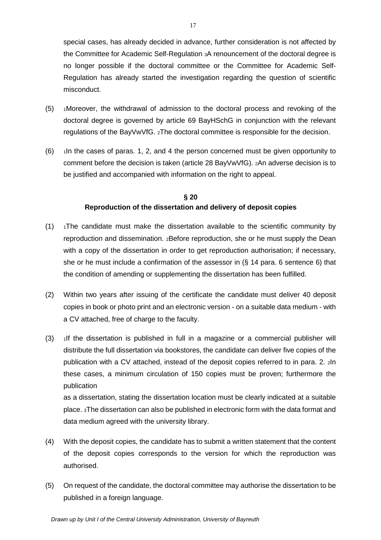special cases, has already decided in advance, further consideration is not affected by the Committee for Academic Self-Regulation 3A renouncement of the doctoral degree is no longer possible if the doctoral committee or the Committee for Academic Self-Regulation has already started the investigation regarding the question of scientific misconduct.

- (5) 1Moreover, the withdrawal of admission to the doctoral process and revoking of the doctoral degree is governed by article 69 BayHSchG in conjunction with the relevant regulations of the BayVwVfG. 2The doctoral committee is responsible for the decision.
- $(6)$  1In the cases of paras. 1, 2, and 4 the person concerned must be given opportunity to comment before the decision is taken (article 28 BayVwVfG). 2An adverse decision is to be justified and accompanied with information on the right to appeal.

## **§ 20 Reproduction of the dissertation and delivery of deposit copies**

- $(1)$  1The candidate must make the dissertation available to the scientific community by reproduction and dissemination. 2Before reproduction, she or he must supply the Dean with a copy of the dissertation in order to get reproduction authorisation; if necessary, she or he must include a confirmation of the assessor in (§ 14 para. 6 sentence 6) that the condition of amending or supplementing the dissertation has been fulfilled.
- (2) Within two years after issuing of the certificate the candidate must deliver 40 deposit copies in book or photo print and an electronic version - on a suitable data medium - with a CV attached, free of charge to the faculty.
- (3) 1If the dissertation is published in full in a magazine or a commercial publisher will distribute the full dissertation via bookstores, the candidate can deliver five copies of the publication with a CV attached, instead of the deposit copies referred to in para. 2. 2In these cases, a minimum circulation of 150 copies must be proven; furthermore the publication

as a dissertation, stating the dissertation location must be clearly indicated at a suitable place. 3The dissertation can also be published in electronic form with the data format and data medium agreed with the university library.

- (4) With the deposit copies, the candidate has to submit a written statement that the content of the deposit copies corresponds to the version for which the reproduction was authorised.
- (5) On request of the candidate, the doctoral committee may authorise the dissertation to be published in a foreign language.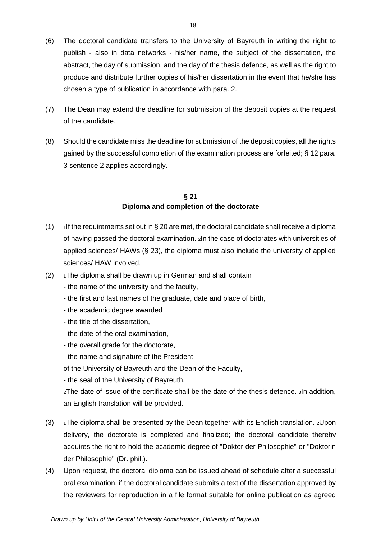- (6) The doctoral candidate transfers to the University of Bayreuth in writing the right to publish - also in data networks - his/her name, the subject of the dissertation, the abstract, the day of submission, and the day of the thesis defence, as well as the right to produce and distribute further copies of his/her dissertation in the event that he/she has chosen a type of publication in accordance with para. 2.
- (7) The Dean may extend the deadline for submission of the deposit copies at the request of the candidate.
- (8) Should the candidate miss the deadline for submission of the deposit copies, all the rights gained by the successful completion of the examination process are forfeited; § 12 para. 3 sentence 2 applies accordingly.

## **§ 21 Diploma and completion of the doctorate**

- (1) If the requirements set out in  $\S 20$  are met, the doctoral candidate shall receive a diploma of having passed the doctoral examination. 2In the case of doctorates with universities of applied sciences/ HAWs (§ 23), the diploma must also include the university of applied sciences/ HAW involved.
- $(2)$  1The diploma shall be drawn up in German and shall contain
	- the name of the university and the faculty,
	- the first and last names of the graduate, date and place of birth,
	- the academic degree awarded
	- the title of the dissertation,
	- the date of the oral examination,
	- the overall grade for the doctorate,
	- the name and signature of the President

of the University of Bayreuth and the Dean of the Faculty,

- the seal of the University of Bayreuth.

2The date of issue of the certificate shall be the date of the thesis defence. 3In addition, an English translation will be provided.

- (3)  $\rightarrow$  1The diploma shall be presented by the Dean together with its English translation.  $2\lambda$ pon delivery, the doctorate is completed and finalized; the doctoral candidate thereby acquires the right to hold the academic degree of "Doktor der Philosophie" or "Doktorin der Philosophie" (Dr. phil.).
- (4) Upon request, the doctoral diploma can be issued ahead of schedule after a successful oral examination, if the doctoral candidate submits a text of the dissertation approved by the reviewers for reproduction in a file format suitable for online publication as agreed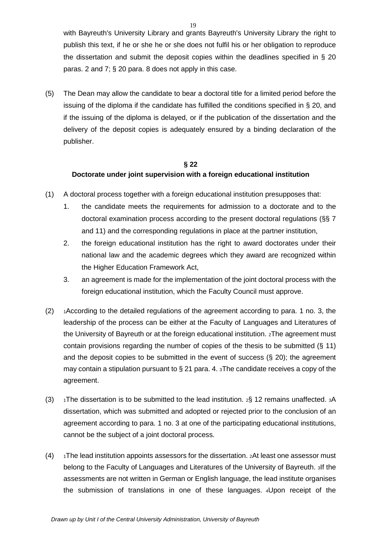with Bayreuth's University Library and grants Bayreuth's University Library the right to publish this text, if he or she he or she does not fulfil his or her obligation to reproduce the dissertation and submit the deposit copies within the deadlines specified in  $\S$  20 paras. 2 and 7; § 20 para. 8 does not apply in this case.

(5) The Dean may allow the candidate to bear a doctoral title for a limited period before the issuing of the diploma if the candidate has fulfilled the conditions specified in § 20, and if the issuing of the diploma is delayed, or if the publication of the dissertation and the delivery of the deposit copies is adequately ensured by a binding declaration of the publisher.

# **§ 22 Doctorate under joint supervision with a foreign educational institution**

- (1) A doctoral process together with a foreign educational institution presupposes that:
	- 1. the candidate meets the requirements for admission to a doctorate and to the doctoral examination process according to the present doctoral regulations (§§ 7 and 11) and the corresponding regulations in place at the partner institution,
	- 2. the foreign educational institution has the right to award doctorates under their national law and the academic degrees which they award are recognized within the Higher Education Framework Act,
	- 3. an agreement is made for the implementation of the joint doctoral process with the foreign educational institution, which the Faculty Council must approve.
- $(2)$  1According to the detailed regulations of the agreement according to para. 1 no. 3, the leadership of the process can be either at the Faculty of Languages and Literatures of the University of Bayreuth or at the foreign educational institution. 2The agreement must contain provisions regarding the number of copies of the thesis to be submitted (§ 11) and the deposit copies to be submitted in the event of success (§ 20); the agreement may contain a stipulation pursuant to § 21 para. 4. 3The candidate receives a copy of the agreement.
- (3)  $\rightarrow$  1The dissertation is to be submitted to the lead institution.  $2\frac{S}{S}$  12 remains unaffected. 3A dissertation, which was submitted and adopted or rejected prior to the conclusion of an agreement according to para. 1 no. 3 at one of the participating educational institutions, cannot be the subject of a joint doctoral process.
- $(4)$  1The lead institution appoints assessors for the dissertation.  $2$ At least one assessor must belong to the Faculty of Languages and Literatures of the University of Bayreuth. 3If the assessments are not written in German or English language, the lead institute organises the submission of translations in one of these languages. 4Upon receipt of the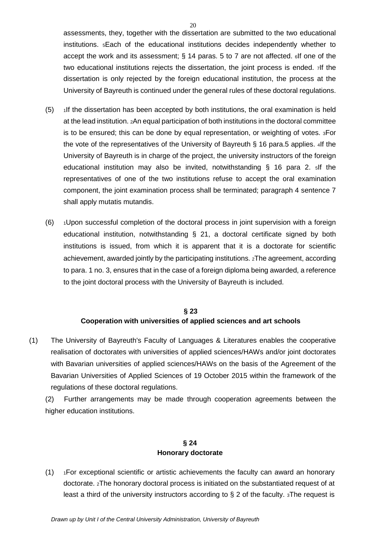assessments, they, together with the dissertation are submitted to the two educational institutions. 5Each of the educational institutions decides independently whether to accept the work and its assessment; § 14 paras. 5 to 7 are not affected. 6If one of the two educational institutions rejects the dissertation, the joint process is ended. 7If the dissertation is only rejected by the foreign educational institution, the process at the University of Bayreuth is continued under the general rules of these doctoral regulations.

- $(5)$  1If the dissertation has been accepted by both institutions, the oral examination is held at the lead institution. 2An equal participation of both institutions in the doctoral committee is to be ensured; this can be done by equal representation, or weighting of votes. 3For the vote of the representatives of the University of Bayreuth § 16 para.5 applies. 4If the University of Bayreuth is in charge of the project, the university instructors of the foreign educational institution may also be invited, notwithstanding § 16 para 2. 5If the representatives of one of the two institutions refuse to accept the oral examination component, the joint examination process shall be terminated; paragraph 4 sentence 7 shall apply mutatis mutandis.
- $(6)$   $\rightarrow$  1Upon successful completion of the doctoral process in joint supervision with a foreign educational institution, notwithstanding § 21, a doctoral certificate signed by both institutions is issued, from which it is apparent that it is a doctorate for scientific achievement, awarded jointly by the participating institutions. 2The agreement, according to para. 1 no. 3, ensures that in the case of a foreign diploma being awarded, a reference to the joint doctoral process with the University of Bayreuth is included.

## **§ 23 Cooperation with universities of applied sciences and art schools**

(1) The University of Bayreuth's Faculty of Languages & Literatures enables the cooperative realisation of doctorates with universities of applied sciences/HAWs and/or joint doctorates with Bavarian universities of applied sciences/HAWs on the basis of the Agreement of the Bavarian Universities of Applied Sciences of 19 October 2015 within the framework of the regulations of these doctoral regulations.

(2) Further arrangements may be made through cooperation agreements between the higher education institutions.

## **§ 24 Honorary doctorate**

(1) 1For exceptional scientific or artistic achievements the faculty can award an honorary doctorate. 2The honorary doctoral process is initiated on the substantiated request of at least a third of the university instructors according to  $\S 2$  of the faculty.  $3$ The request is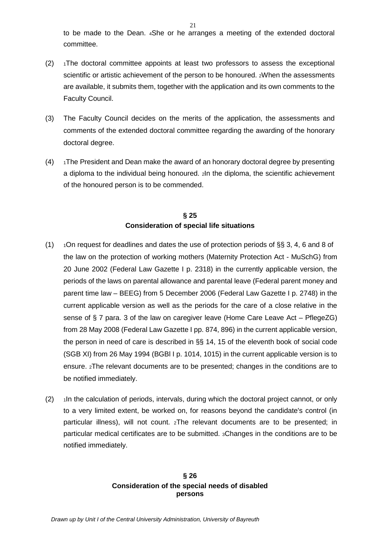to be made to the Dean. 4She or he arranges a meeting of the extended doctoral committee.

- $(2)$  1The doctoral committee appoints at least two professors to assess the exceptional scientific or artistic achievement of the person to be honoured. 2When the assessments are available, it submits them, together with the application and its own comments to the Faculty Council.
- (3) The Faculty Council decides on the merits of the application, the assessments and comments of the extended doctoral committee regarding the awarding of the honorary doctoral degree.
- $(4)$  1The President and Dean make the award of an honorary doctoral degree by presenting a diploma to the individual being honoured. 2In the diploma, the scientific achievement of the honoured person is to be commended.

# **§ 25 Consideration of special life situations**

- (1)  $\rightarrow$  1On request for deadlines and dates the use of protection periods of §§ 3, 4, 6 and 8 of the law on the protection of working mothers (Maternity Protection Act - MuSchG) from 20 June 2002 (Federal Law Gazette I p. 2318) in the currently applicable version, the periods of the laws on parental allowance and parental leave (Federal parent money and parent time law – BEEG) from 5 December 2006 (Federal Law Gazette I p. 2748) in the current applicable version as well as the periods for the care of a close relative in the sense of § 7 para. 3 of the law on caregiver leave (Home Care Leave Act – PflegeZG) from 28 May 2008 (Federal Law Gazette I pp. 874, 896) in the current applicable version, the person in need of care is described in §§ 14, 15 of the eleventh book of social code (SGB XI) from 26 May 1994 (BGBl I p. 1014, 1015) in the current applicable version is to ensure. 2The relevant documents are to be presented; changes in the conditions are to be notified immediately.
- $(2)$  1In the calculation of periods, intervals, during which the doctoral project cannot, or only to a very limited extent, be worked on, for reasons beyond the candidate's control (in particular illness), will not count. 2The relevant documents are to be presented; in particular medical certificates are to be submitted. 3Changes in the conditions are to be notified immediately.

#### **§ 26 Consideration of the special needs of disabled persons**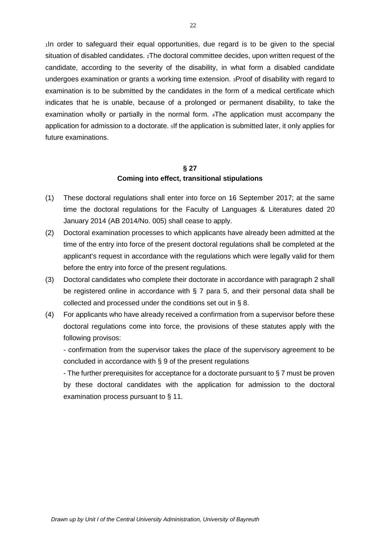1In order to safeguard their equal opportunities, due regard is to be given to the special situation of disabled candidates. 2The doctoral committee decides, upon written request of the candidate, according to the severity of the disability, in what form a disabled candidate undergoes examination or grants a working time extension. 3Proof of disability with regard to examination is to be submitted by the candidates in the form of a medical certificate which indicates that he is unable, because of a prolonged or permanent disability, to take the examination wholly or partially in the normal form. 4The application must accompany the application for admission to a doctorate. 5If the application is submitted later, it only applies for future examinations.

#### **§ 27 Coming into effect, transitional stipulations**

- (1) These doctoral regulations shall enter into force on 16 September 2017; at the same time the doctoral regulations for the Faculty of Languages & Literatures dated 20 January 2014 (AB 2014/No. 005) shall cease to apply.
- (2) Doctoral examination processes to which applicants have already been admitted at the time of the entry into force of the present doctoral regulations shall be completed at the applicant's request in accordance with the regulations which were legally valid for them before the entry into force of the present regulations.
- (3) Doctoral candidates who complete their doctorate in accordance with paragraph 2 shall be registered online in accordance with § 7 para 5, and their personal data shall be collected and processed under the conditions set out in § 8.
- (4) For applicants who have already received a confirmation from a supervisor before these doctoral regulations come into force, the provisions of these statutes apply with the following provisos:

- confirmation from the supervisor takes the place of the supervisory agreement to be concluded in accordance with § 9 of the present regulations

- The further prerequisites for acceptance for a doctorate pursuant to § 7 must be proven by these doctoral candidates with the application for admission to the doctoral examination process pursuant to § 11.